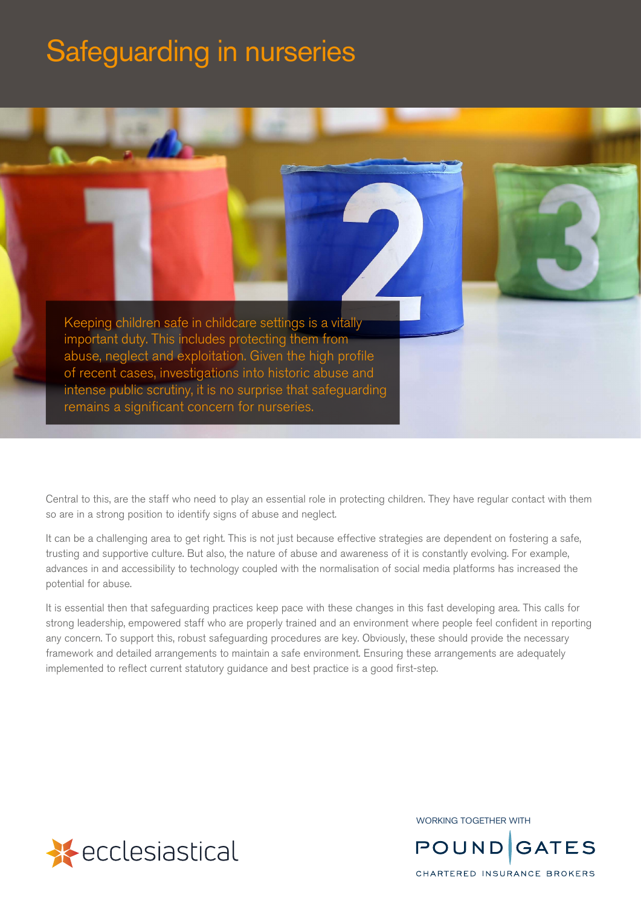# Safeguarding in nurseries



Central to this, are the staff who need to play an essential role in protecting children. They have regular contact with them so are in a strong position to identify signs of abuse and neglect.

It can be a challenging area to get right. This is not just because effective strategies are dependent on fostering a safe, trusting and supportive culture. But also, the nature of abuse and awareness of it is constantly evolving. For example, advances in and accessibility to technology coupled with the normalisation of social media platforms has increased the potential for abuse.

It is essential then that safeguarding practices keep pace with these changes in this fast developing area. This calls for strong leadership, empowered staff who are properly trained and an environment where people feel confident in reporting any concern. To support this, robust safeguarding procedures are key. Obviously, these should provide the necessary framework and detailed arrangements to maintain a safe environment. Ensuring these arrangements are adequately implemented to reflect current statutory guidance and best practice is a good first-step.



WORKING TOGETHER WITH

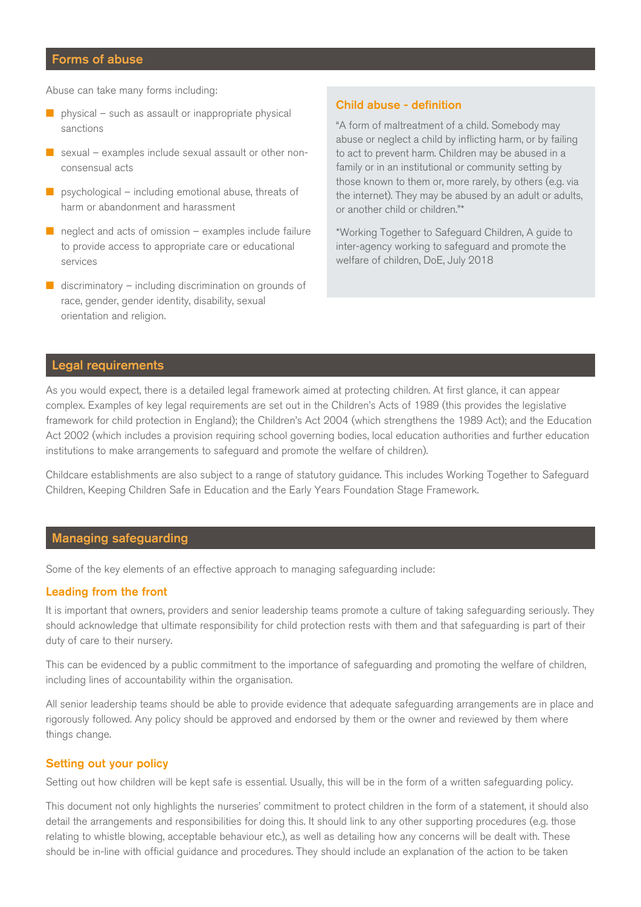# Forms of abuse

Abuse can take many forms including:

- physical such as assault or inappropriate physical sanctions
- sexual examples include sexual assault or other nonconsensual acts
- psychological including emotional abuse, threats of harm or abandonment and harassment
- neglect and acts of omission examples include failure to provide access to appropriate care or educational services
- discriminatory including discrimination on grounds of race, gender, gender identity, disability, sexual orientation and religion.

#### Child abuse - definition

"A form of maltreatment of a child. Somebody may abuse or neglect a child by inflicting harm, or by failing to act to prevent harm. Children may be abused in a family or in an institutional or community setting by those known to them or, more rarely, by others (e.g. via the internet). They may be abused by an adult or adults, or another child or children."\*

\*Working Together to Safeguard Children, A guide to inter-agency working to safeguard and promote the welfare of children, DoE, July 2018

## Legal requirements

As you would expect, there is a detailed legal framework aimed at protecting children. At first glance, it can appear complex. Examples of key legal requirements are set out in the Children's Acts of 1989 (this provides the legislative framework for child protection in England); the Children's Act 2004 (which strengthens the 1989 Act); and the Education Act 2002 (which includes a provision requiring school governing bodies, local education authorities and further education institutions to make arrangements to safeguard and promote the welfare of children).

Childcare establishments are also subject to a range of statutory guidance. This includes Working Together to Safeguard Children, Keeping Children Safe in Education and the Early Years Foundation Stage Framework.

## Managing safeguarding

Some of the key elements of an effective approach to managing safeguarding include:

#### Leading from the front

It is important that owners, providers and senior leadership teams promote a culture of taking safeguarding seriously. They should acknowledge that ultimate responsibility for child protection rests with them and that safeguarding is part of their duty of care to their nursery.

This can be evidenced by a public commitment to the importance of safeguarding and promoting the welfare of children, including lines of accountability within the organisation.

All senior leadership teams should be able to provide evidence that adequate safeguarding arrangements are in place and rigorously followed. Any policy should be approved and endorsed by them or the owner and reviewed by them where things change.

#### Setting out your policy

Setting out how children will be kept safe is essential. Usually, this will be in the form of a written safeguarding policy.

This document not only highlights the nurseries' commitment to protect children in the form of a statement, it should also detail the arrangements and responsibilities for doing this. It should link to any other supporting procedures (e.g. those relating to whistle blowing, acceptable behaviour etc.), as well as detailing how any concerns will be dealt with. These should be in-line with official guidance and procedures. They should include an explanation of the action to be taken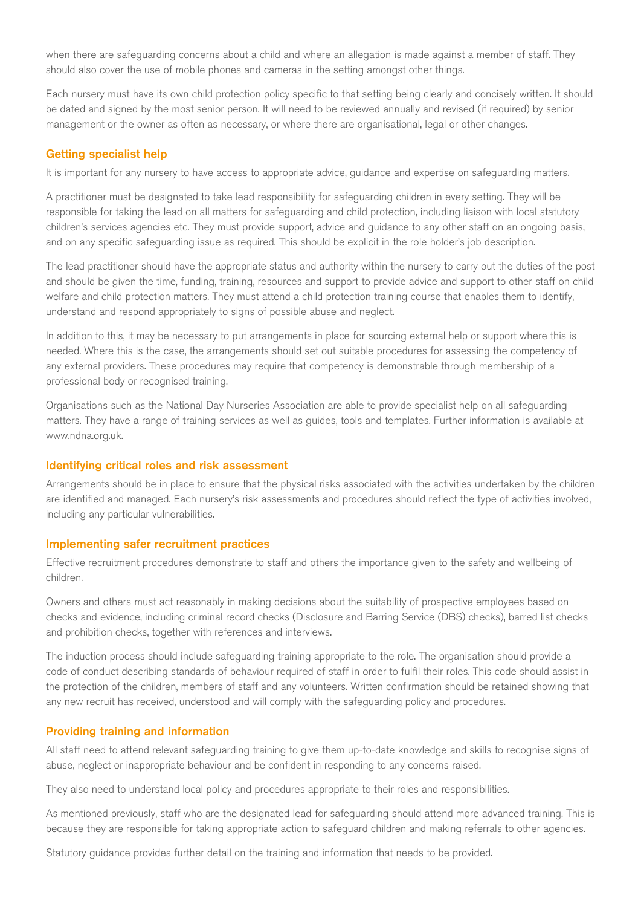when there are safeguarding concerns about a child and where an allegation is made against a member of staff. They should also cover the use of mobile phones and cameras in the setting amongst other things.

Each nursery must have its own child protection policy specific to that setting being clearly and concisely written. It should be dated and signed by the most senior person. It will need to be reviewed annually and revised (if required) by senior management or the owner as often as necessary, or where there are organisational, legal or other changes.

#### Getting specialist help

It is important for any nursery to have access to appropriate advice, guidance and expertise on safeguarding matters.

A practitioner must be designated to take lead responsibility for safeguarding children in every setting. They will be responsible for taking the lead on all matters for safeguarding and child protection, including liaison with local statutory children's services agencies etc. They must provide support, advice and guidance to any other staff on an ongoing basis, and on any specific safeguarding issue as required. This should be explicit in the role holder's job description.

The lead practitioner should have the appropriate status and authority within the nursery to carry out the duties of the post and should be given the time, funding, training, resources and support to provide advice and support to other staff on child welfare and child protection matters. They must attend a child protection training course that enables them to identify, understand and respond appropriately to signs of possible abuse and neglect.

In addition to this, it may be necessary to put arrangements in place for sourcing external help or support where this is needed. Where this is the case, the arrangements should set out suitable procedures for assessing the competency of any external providers. These procedures may require that competency is demonstrable through membership of a professional body or recognised training.

Organisations such as the National Day Nurseries Association are able to provide specialist help on all safeguarding matters. They have a range of training services as well as guides, tools and templates. Further information is available at [www.ndna.org.uk.](http://www.ndna.org.uk)

#### Identifying critical roles and risk assessment

Arrangements should be in place to ensure that the physical risks associated with the activities undertaken by the children are identified and managed. Each nursery's risk assessments and procedures should reflect the type of activities involved, including any particular vulnerabilities.

#### Implementing safer recruitment practices

Effective recruitment procedures demonstrate to staff and others the importance given to the safety and wellbeing of children.

Owners and others must act reasonably in making decisions about the suitability of prospective employees based on checks and evidence, including criminal record checks (Disclosure and Barring Service (DBS) checks), barred list checks and prohibition checks, together with references and interviews.

The induction process should include safeguarding training appropriate to the role. The organisation should provide a code of conduct describing standards of behaviour required of staff in order to fulfil their roles. This code should assist in the protection of the children, members of staff and any volunteers. Written confirmation should be retained showing that any new recruit has received, understood and will comply with the safeguarding policy and procedures.

#### Providing training and information

All staff need to attend relevant safeguarding training to give them up-to-date knowledge and skills to recognise signs of abuse, neglect or inappropriate behaviour and be confident in responding to any concerns raised.

They also need to understand local policy and procedures appropriate to their roles and responsibilities.

As mentioned previously, staff who are the designated lead for safeguarding should attend more advanced training. This is because they are responsible for taking appropriate action to safeguard children and making referrals to other agencies.

Statutory guidance provides further detail on the training and information that needs to be provided.